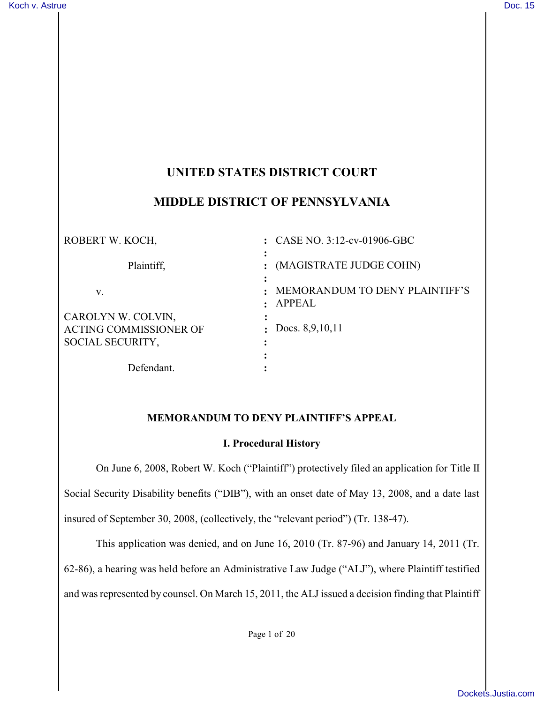# **UNITED STATES DISTRICT COURT**

### **MIDDLE DISTRICT OF PENNSYLVANIA**

| ROBERT W. KOCH,               | : CASE NO. $3:12$ -cv-01906-GBC          |
|-------------------------------|------------------------------------------|
| Plaintiff,                    | (MAGISTRATE JUDGE COHN)                  |
| V.                            | MEMORANDUM TO DENY PLAINTIFF'S<br>APPEAL |
| CAROLYN W. COLVIN,            |                                          |
| <b>ACTING COMMISSIONER OF</b> | : Docs. $8,9,10,11$                      |
| SOCIAL SECURITY,              |                                          |
|                               |                                          |
| Defendant.                    |                                          |

#### **MEMORANDUM TO DENY PLAINTIFF'S APPEAL**

#### **I. Procedural History**

On June 6, 2008, Robert W. Koch ("Plaintiff") protectively filed an application for Title II Social Security Disability benefits ("DIB"), with an onset date of May 13, 2008, and a date last insured of September 30, 2008, (collectively, the "relevant period") (Tr. 138-47).

This application was denied, and on June 16, 2010 (Tr. 87-96) and January 14, 2011 (Tr.

62-86), a hearing was held before an Administrative Law Judge ("ALJ"), where Plaintiff testified

and was represented by counsel. On March 15, 2011, the ALJ issued a decision finding that Plaintiff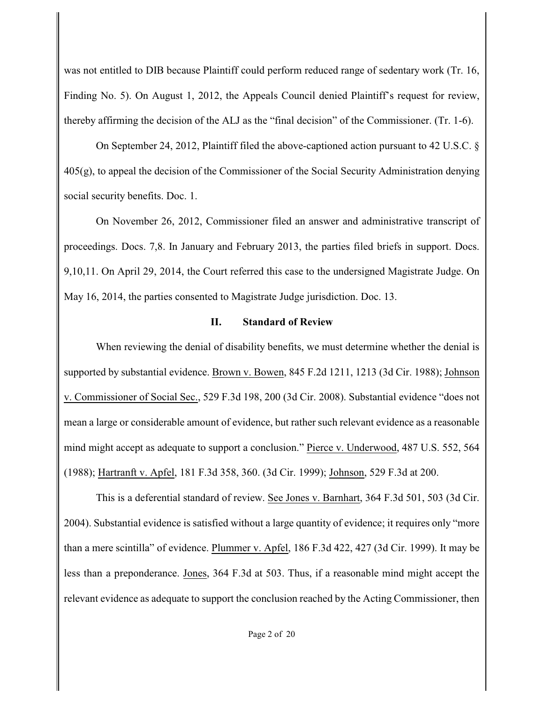was not entitled to DIB because Plaintiff could perform reduced range of sedentary work (Tr. 16, Finding No. 5). On August 1, 2012, the Appeals Council denied Plaintiff's request for review, thereby affirming the decision of the ALJ as the "final decision" of the Commissioner. (Tr. 1-6).

On September 24, 2012, Plaintiff filed the above-captioned action pursuant to 42 U.S.C. § 405(g), to appeal the decision of the Commissioner of the Social Security Administration denying social security benefits. Doc. 1.

On November 26, 2012, Commissioner filed an answer and administrative transcript of proceedings. Docs. 7,8. In January and February 2013, the parties filed briefs in support. Docs. 9,10,11. On April 29, 2014, the Court referred this case to the undersigned Magistrate Judge. On May 16, 2014, the parties consented to Magistrate Judge jurisdiction. Doc. 13.

### **II. Standard of Review**

When reviewing the denial of disability benefits, we must determine whether the denial is supported by substantial evidence. Brown v. Bowen, 845 F.2d 1211, 1213 (3d Cir. 1988); Johnson v. Commissioner of Social Sec., 529 F.3d 198, 200 (3d Cir. 2008). Substantial evidence "does not mean a large or considerable amount of evidence, but rather such relevant evidence as a reasonable mind might accept as adequate to support a conclusion." Pierce v. Underwood, 487 U.S. 552, 564 (1988); Hartranft v. Apfel, 181 F.3d 358, 360. (3d Cir. 1999); Johnson, 529 F.3d at 200.

This is a deferential standard of review. See Jones v. Barnhart, 364 F.3d 501, 503 (3d Cir. 2004). Substantial evidence is satisfied without a large quantity of evidence; it requires only "more than a mere scintilla" of evidence. Plummer v. Apfel, 186 F.3d 422, 427 (3d Cir. 1999). It may be less than a preponderance. Jones, 364 F.3d at 503. Thus, if a reasonable mind might accept the relevant evidence as adequate to support the conclusion reached by the Acting Commissioner, then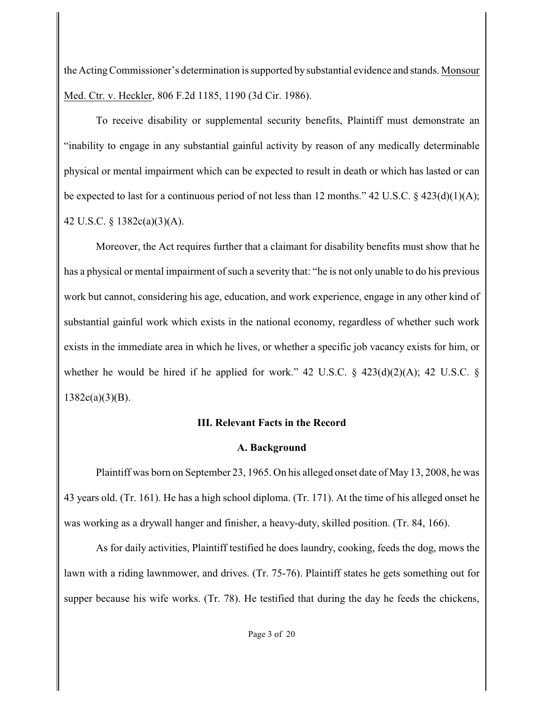the Acting Commissioner's determination is supported by substantial evidence and stands. Monsour Med. Ctr. v. Heckler, 806 F.2d 1185, 1190 (3d Cir. 1986).

To receive disability or supplemental security benefits, Plaintiff must demonstrate an "inability to engage in any substantial gainful activity by reason of any medically determinable physical or mental impairment which can be expected to result in death or which has lasted or can be expected to last for a continuous period of not less than 12 months." 42 U.S.C. § 423(d)(1)(A); 42 U.S.C. § 1382c(a)(3)(A).

Moreover, the Act requires further that a claimant for disability benefits must show that he has a physical or mental impairment of such a severity that: "he is not only unable to do his previous work but cannot, considering his age, education, and work experience, engage in any other kind of substantial gainful work which exists in the national economy, regardless of whether such work exists in the immediate area in which he lives, or whether a specific job vacancy exists for him, or whether he would be hired if he applied for work." 42 U.S.C.  $\S$  423(d)(2)(A); 42 U.S.C.  $\S$  $1382c(a)(3)(B)$ .

## **III. Relevant Facts in the Record**

## **A. Background**

Plaintiff was born on September 23, 1965. On his alleged onset date of May 13, 2008, he was 43 years old. (Tr. 161). He has a high school diploma. (Tr. 171). At the time of his alleged onset he was working as a drywall hanger and finisher, a heavy-duty, skilled position. (Tr. 84, 166).

As for daily activities, Plaintiff testified he does laundry, cooking, feeds the dog, mows the lawn with a riding lawnmower, and drives. (Tr. 75-76). Plaintiff states he gets something out for supper because his wife works. (Tr. 78). He testified that during the day he feeds the chickens,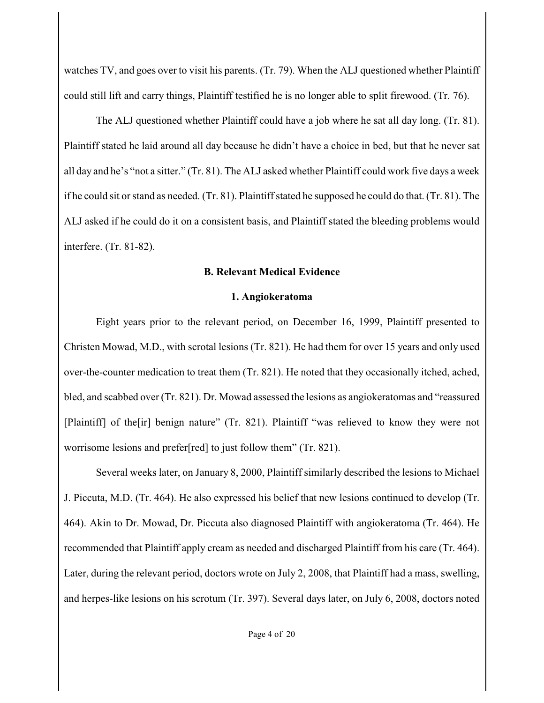watches TV, and goes over to visit his parents. (Tr. 79). When the ALJ questioned whether Plaintiff could still lift and carry things, Plaintiff testified he is no longer able to split firewood. (Tr. 76).

The ALJ questioned whether Plaintiff could have a job where he sat all day long. (Tr. 81). Plaintiff stated he laid around all day because he didn't have a choice in bed, but that he never sat all day and he's "not a sitter." (Tr. 81). The ALJ asked whether Plaintiff could work five days a week if he could sit or stand as needed. (Tr. 81). Plaintiff stated he supposed he could do that. (Tr. 81). The ALJ asked if he could do it on a consistent basis, and Plaintiff stated the bleeding problems would interfere. (Tr. 81-82).

## **B. Relevant Medical Evidence**

### **1. Angiokeratoma**

Eight years prior to the relevant period, on December 16, 1999, Plaintiff presented to Christen Mowad, M.D., with scrotal lesions (Tr. 821). He had them for over 15 years and only used over-the-counter medication to treat them (Tr. 821). He noted that they occasionally itched, ached, bled, and scabbed over (Tr. 821). Dr. Mowad assessed the lesions as angiokeratomas and "reassured [Plaintiff] of the[ir] benign nature" (Tr. 821). Plaintiff "was relieved to know they were not worrisome lesions and prefer[red] to just follow them" (Tr. 821).

Several weeks later, on January 8, 2000, Plaintiff similarly described the lesions to Michael J. Piccuta, M.D. (Tr. 464). He also expressed his belief that new lesions continued to develop (Tr. 464). Akin to Dr. Mowad, Dr. Piccuta also diagnosed Plaintiff with angiokeratoma (Tr. 464). He recommended that Plaintiff apply cream as needed and discharged Plaintiff from his care (Tr. 464). Later, during the relevant period, doctors wrote on July 2, 2008, that Plaintiff had a mass, swelling, and herpes-like lesions on his scrotum (Tr. 397). Several days later, on July 6, 2008, doctors noted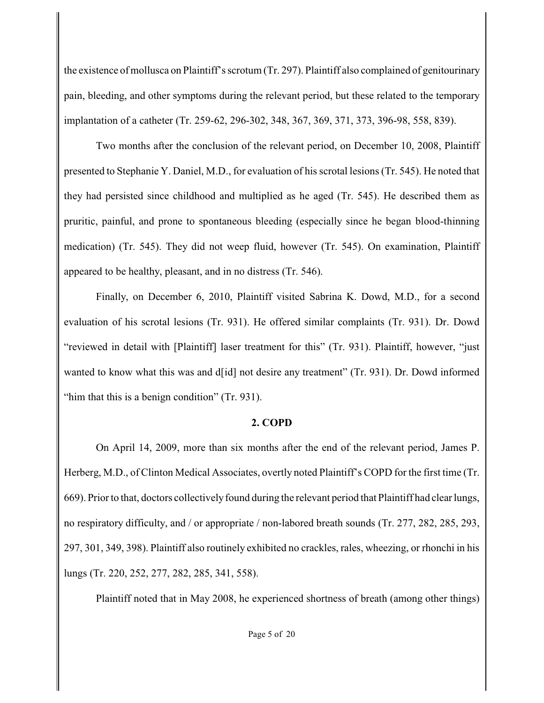the existence of mollusca on Plaintiff's scrotum (Tr. 297). Plaintiff also complained of genitourinary pain, bleeding, and other symptoms during the relevant period, but these related to the temporary implantation of a catheter (Tr. 259-62, 296-302, 348, 367, 369, 371, 373, 396-98, 558, 839).

Two months after the conclusion of the relevant period, on December 10, 2008, Plaintiff presented to Stephanie Y. Daniel, M.D., for evaluation of his scrotal lesions (Tr. 545). He noted that they had persisted since childhood and multiplied as he aged (Tr. 545). He described them as pruritic, painful, and prone to spontaneous bleeding (especially since he began blood-thinning medication) (Tr. 545). They did not weep fluid, however (Tr. 545). On examination, Plaintiff appeared to be healthy, pleasant, and in no distress (Tr. 546).

Finally, on December 6, 2010, Plaintiff visited Sabrina K. Dowd, M.D., for a second evaluation of his scrotal lesions (Tr. 931). He offered similar complaints (Tr. 931). Dr. Dowd "reviewed in detail with [Plaintiff] laser treatment for this" (Tr. 931). Plaintiff, however, "just wanted to know what this was and d[id] not desire any treatment" (Tr. 931). Dr. Dowd informed "him that this is a benign condition" (Tr. 931).

### **2. COPD**

On April 14, 2009, more than six months after the end of the relevant period, James P. Herberg, M.D., of Clinton Medical Associates, overtly noted Plaintiff's COPD for the first time (Tr. 669). Prior to that, doctors collectively found during the relevant period that Plaintiff had clear lungs, no respiratory difficulty, and / or appropriate / non-labored breath sounds (Tr. 277, 282, 285, 293, 297, 301, 349, 398). Plaintiff also routinely exhibited no crackles, rales, wheezing, or rhonchi in his lungs (Tr. 220, 252, 277, 282, 285, 341, 558).

Plaintiff noted that in May 2008, he experienced shortness of breath (among other things)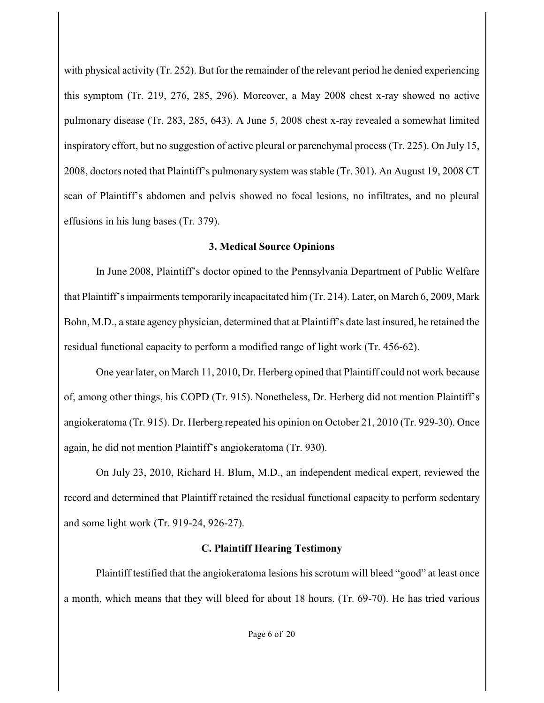with physical activity (Tr. 252). But for the remainder of the relevant period he denied experiencing this symptom (Tr. 219, 276, 285, 296). Moreover, a May 2008 chest x-ray showed no active pulmonary disease (Tr. 283, 285, 643). A June 5, 2008 chest x-ray revealed a somewhat limited inspiratory effort, but no suggestion of active pleural or parenchymal process (Tr. 225). On July 15, 2008, doctors noted that Plaintiff's pulmonary system was stable (Tr. 301). An August 19, 2008 CT scan of Plaintiff's abdomen and pelvis showed no focal lesions, no infiltrates, and no pleural effusions in his lung bases (Tr. 379).

### **3. Medical Source Opinions**

In June 2008, Plaintiff's doctor opined to the Pennsylvania Department of Public Welfare that Plaintiff's impairments temporarily incapacitated him (Tr. 214). Later, on March 6, 2009, Mark Bohn, M.D., a state agency physician, determined that at Plaintiff's date last insured, he retained the residual functional capacity to perform a modified range of light work (Tr. 456-62).

One year later, on March 11, 2010, Dr. Herberg opined that Plaintiff could not work because of, among other things, his COPD (Tr. 915). Nonetheless, Dr. Herberg did not mention Plaintiff's angiokeratoma (Tr. 915). Dr. Herberg repeated his opinion on October 21, 2010 (Tr. 929-30). Once again, he did not mention Plaintiff's angiokeratoma (Tr. 930).

On July 23, 2010, Richard H. Blum, M.D., an independent medical expert, reviewed the record and determined that Plaintiff retained the residual functional capacity to perform sedentary and some light work (Tr. 919-24, 926-27).

## **C. Plaintiff Hearing Testimony**

Plaintiff testified that the angiokeratoma lesions his scrotum will bleed "good" at least once a month, which means that they will bleed for about 18 hours. (Tr. 69-70). He has tried various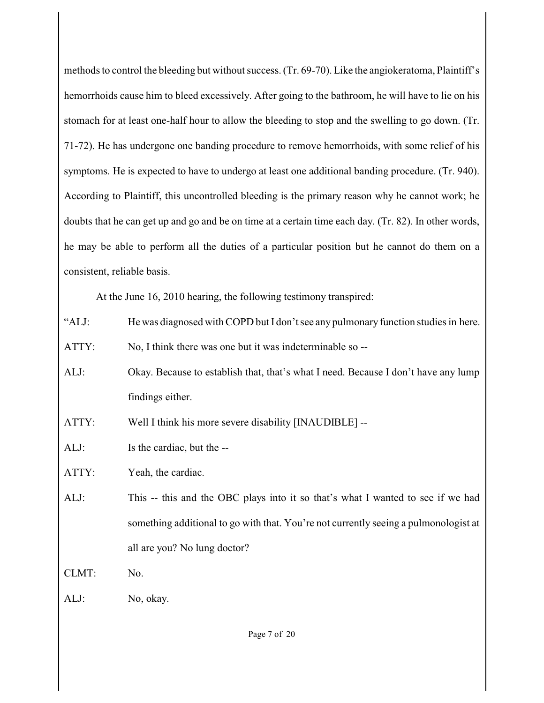methods to control the bleeding but without success. (Tr. 69-70). Like the angiokeratoma, Plaintiff's hemorrhoids cause him to bleed excessively. After going to the bathroom, he will have to lie on his stomach for at least one-half hour to allow the bleeding to stop and the swelling to go down. (Tr. 71-72). He has undergone one banding procedure to remove hemorrhoids, with some relief of his symptoms. He is expected to have to undergo at least one additional banding procedure. (Tr. 940). According to Plaintiff, this uncontrolled bleeding is the primary reason why he cannot work; he doubts that he can get up and go and be on time at a certain time each day. (Tr. 82). In other words, he may be able to perform all the duties of a particular position but he cannot do them on a consistent, reliable basis.

At the June 16, 2010 hearing, the following testimony transpired:

"ALJ: He was diagnosed with COPD but I don't see any pulmonary function studies in here.

ATTY: No, I think there was one but it was indeterminable so --

- ALJ: Okay. Because to establish that, that's what I need. Because I don't have any lump findings either.
- ATTY: Well I think his more severe disability [INAUDIBLE] --
- ALJ: Is the cardiac, but the --
- ATTY: Yeah, the cardiac.
- ALJ: This -- this and the OBC plays into it so that's what I wanted to see if we had something additional to go with that. You're not currently seeing a pulmonologist at all are you? No lung doctor?

CLMT: No.

ALJ: No, okay.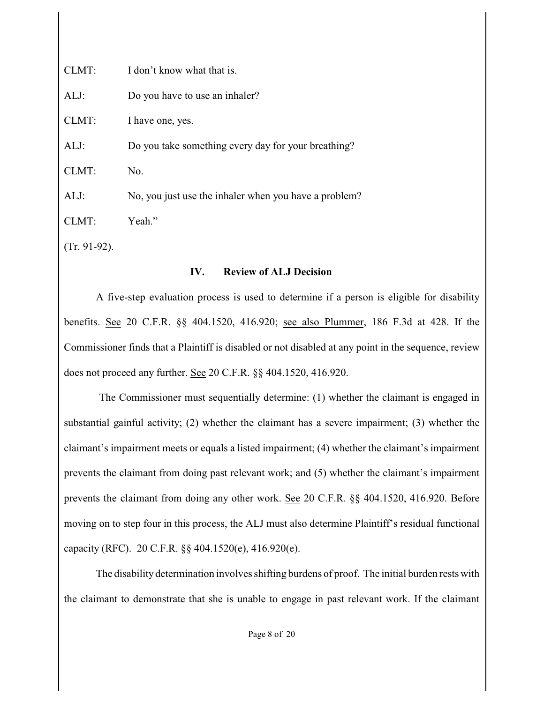| CLMT: | I don't know what that is.                            |
|-------|-------------------------------------------------------|
| ALJ:  | Do you have to use an inhaler?                        |
| CLMT: | I have one, yes.                                      |
| ALJ:  | Do you take something every day for your breathing?   |
| CLMT: | No.                                                   |
| ALJ:  | No, you just use the inhaler when you have a problem? |
| CLMT: | Yeah."                                                |
|       |                                                       |

(Tr. 91-92).

#### **IV. Review of ALJ Decision**

A five-step evaluation process is used to determine if a person is eligible for disability benefits. See [20 C.F.R. §§ 404.1520, 416.920](http://www.westlaw.com/find/default.wl?rs=CLWP3.0&vr=2.0&cite=20+CFR+s+404.1520); see also [Plummer, 186 F.3d at 428](http://www.westlaw.com/find/default.wl?rs=CLWP3.0&vr=2.0&cite=186+F.3d+422). If the Commissioner finds that a Plaintiff is disabled or not disabled at any point in the sequence, review does not proceed any further. See [20 C.F.R. §§ 404.1520, 416.920](http://www.westlaw.com/find/default.wl?rs=CLWP3.0&vr=2.0&cite=20+CFR+s+404.1520).

 The Commissioner must sequentially determine: (1) whether the claimant is engaged in substantial gainful activity; (2) whether the claimant has a severe impairment; (3) whether the claimant's impairment meets or equals a listed impairment; (4) whether the claimant's impairment prevents the claimant from doing past relevant work; and (5) whether the claimant's impairment prevents the claimant from doing any other work. See [20 C.F.R. §§ 404.1520, 416.920](http://www.westlaw.com/find/default.wl?rs=CLWP3.0&vr=2.0&cite=20+CFR+s+404.1520). Before moving on to step four in this process, the ALJ must also determine Plaintiff's residual functional capacity (RFC). 20 C.F.R. §§ 404.1520(e), 416.920(e).

The disability determination involves shifting burdens of proof. The initial burden rests with the claimant to demonstrate that she is unable to engage in past relevant work. If the claimant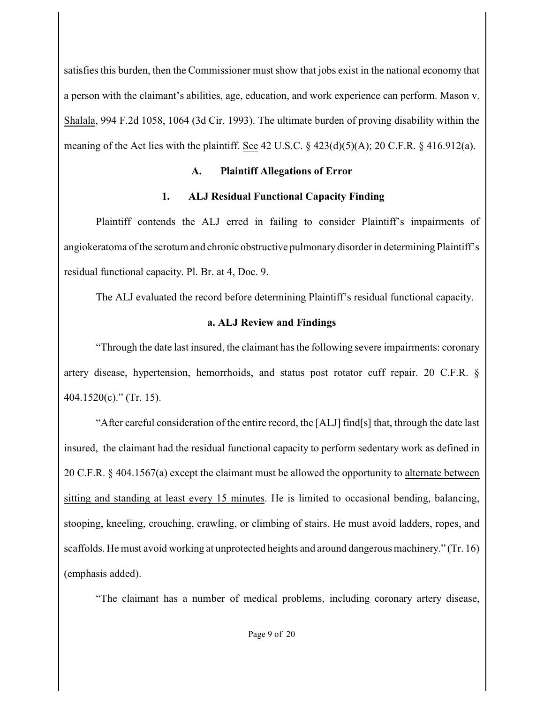satisfies this burden, then the Commissioner must show that jobs exist in the national economy that a person with the claimant's abilities, age, education, and work experience can perform. Mason v. Shalala, 994 F.2d 1058, 1064 (3d Cir. 1993). The ultimate burden of proving disability within the meaning of the Act lies with the plaintiff. See 42 U.S.C.  $\S$  423(d)(5)(A); 20 C.F.R.  $\S$  416.912(a).

## **A. Plaintiff Allegations of Error**

## **1. ALJ Residual Functional Capacity Finding**

Plaintiff contends the ALJ erred in failing to consider Plaintiff's impairments of angiokeratoma of the scrotum and chronic obstructive pulmonary disorder in determining Plaintiff's residual functional capacity. Pl. Br. at 4, Doc. 9.

The ALJ evaluated the record before determining Plaintiff's residual functional capacity.

## **a. ALJ Review and Findings**

"Through the date last insured, the claimant has the following severe impairments: coronary artery disease, hypertension, hemorrhoids, and status post rotator cuff repair. 20 C.F.R. § 404.1520(c)." (Tr. 15).

"After careful consideration of the entire record, the [ALJ] find[s] that, through the date last insured, the claimant had the residual functional capacity to perform sedentary work as defined in 20 C.F.R. § 404.1567(a) except the claimant must be allowed the opportunity to alternate between sitting and standing at least every 15 minutes. He is limited to occasional bending, balancing, stooping, kneeling, crouching, crawling, or climbing of stairs. He must avoid ladders, ropes, and scaffolds. He must avoid working at unprotected heights and around dangerous machinery." (Tr. 16) (emphasis added).

"The claimant has a number of medical problems, including coronary artery disease,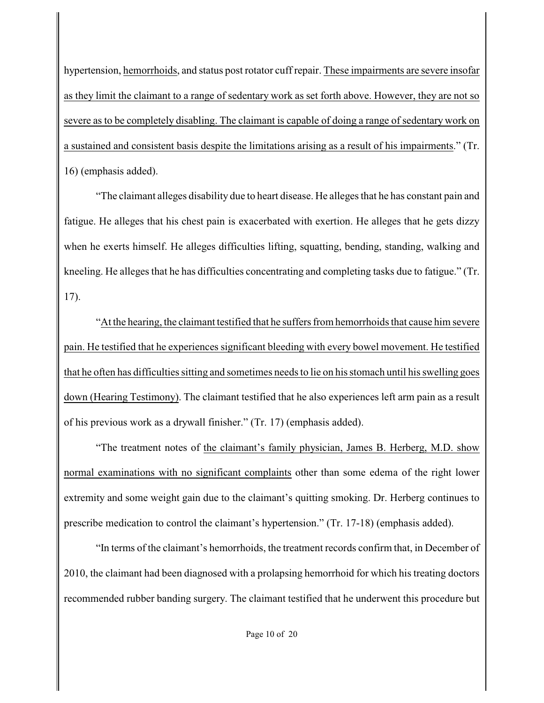hypertension, hemorrhoids, and status post rotator cuff repair. These impairments are severe insofar as they limit the claimant to a range of sedentary work as set forth above. However, they are not so severe as to be completely disabling. The claimant is capable of doing a range of sedentary work on a sustained and consistent basis despite the limitations arising as a result of his impairments." (Tr. 16) (emphasis added).

"The claimant alleges disability due to heart disease. He alleges that he has constant pain and fatigue. He alleges that his chest pain is exacerbated with exertion. He alleges that he gets dizzy when he exerts himself. He alleges difficulties lifting, squatting, bending, standing, walking and kneeling. He alleges that he has difficulties concentrating and completing tasks due to fatigue." (Tr. 17).

"At the hearing, the claimant testified that he suffers from hemorrhoids that cause him severe pain. He testified that he experiences significant bleeding with every bowel movement. He testified that he often has difficulties sitting and sometimes needs to lie on his stomach until his swelling goes down (Hearing Testimony). The claimant testified that he also experiences left arm pain as a result of his previous work as a drywall finisher." (Tr. 17) (emphasis added).

"The treatment notes of the claimant's family physician, James B. Herberg, M.D. show normal examinations with no significant complaints other than some edema of the right lower extremity and some weight gain due to the claimant's quitting smoking. Dr. Herberg continues to prescribe medication to control the claimant's hypertension." (Tr. 17-18) (emphasis added).

"In terms of the claimant's hemorrhoids, the treatment records confirm that, in December of 2010, the claimant had been diagnosed with a prolapsing hemorrhoid for which his treating doctors recommended rubber banding surgery. The claimant testified that he underwent this procedure but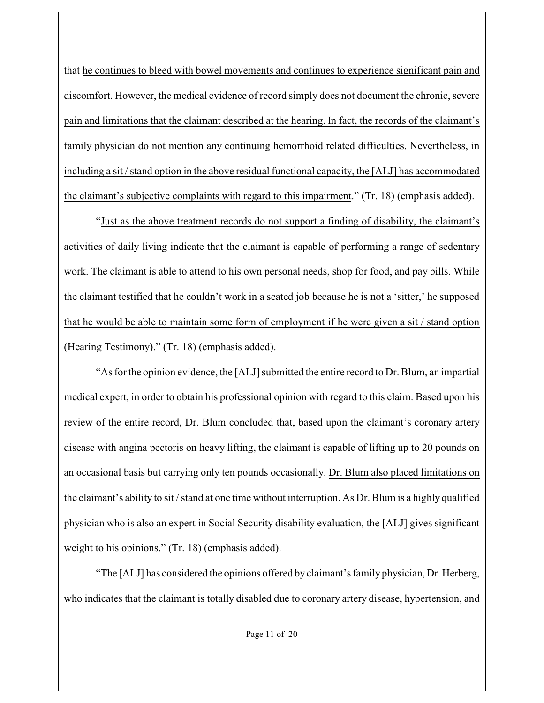that he continues to bleed with bowel movements and continues to experience significant pain and discomfort. However, the medical evidence of record simply does not document the chronic, severe pain and limitations that the claimant described at the hearing. In fact, the records of the claimant's family physician do not mention any continuing hemorrhoid related difficulties. Nevertheless, in including a sit / stand option in the above residual functional capacity, the [ALJ] has accommodated the claimant's subjective complaints with regard to this impairment." (Tr. 18) (emphasis added).

"Just as the above treatment records do not support a finding of disability, the claimant's activities of daily living indicate that the claimant is capable of performing a range of sedentary work. The claimant is able to attend to his own personal needs, shop for food, and pay bills. While the claimant testified that he couldn't work in a seated job because he is not a 'sitter,' he supposed that he would be able to maintain some form of employment if he were given a sit / stand option (Hearing Testimony)." (Tr. 18) (emphasis added).

"As for the opinion evidence, the [ALJ] submitted the entire record to Dr. Blum, an impartial medical expert, in order to obtain his professional opinion with regard to this claim. Based upon his review of the entire record, Dr. Blum concluded that, based upon the claimant's coronary artery disease with angina pectoris on heavy lifting, the claimant is capable of lifting up to 20 pounds on an occasional basis but carrying only ten pounds occasionally. Dr. Blum also placed limitations on the claimant's ability to sit / stand at one time without interruption. As Dr. Blum is a highly qualified physician who is also an expert in Social Security disability evaluation, the [ALJ] gives significant weight to his opinions." (Tr. 18) (emphasis added).

"The [ALJ] has considered the opinions offered by claimant's family physician, Dr. Herberg, who indicates that the claimant is totally disabled due to coronary artery disease, hypertension, and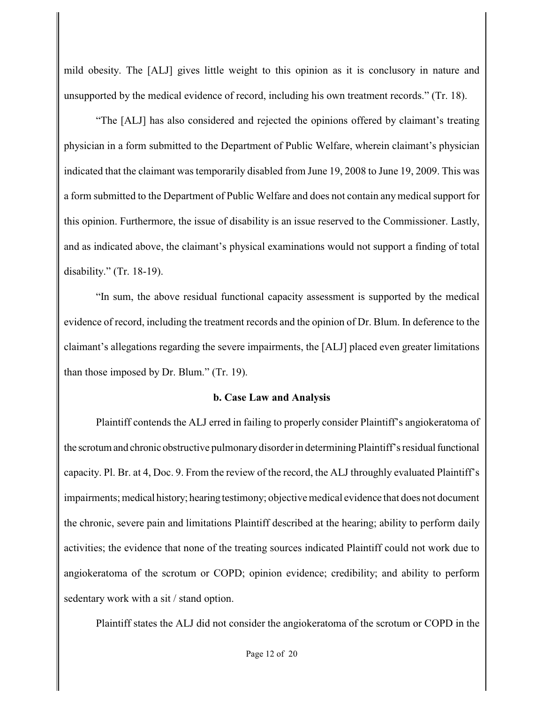mild obesity. The [ALJ] gives little weight to this opinion as it is conclusory in nature and unsupported by the medical evidence of record, including his own treatment records." (Tr. 18).

"The [ALJ] has also considered and rejected the opinions offered by claimant's treating physician in a form submitted to the Department of Public Welfare, wherein claimant's physician indicated that the claimant was temporarily disabled from June 19, 2008 to June 19, 2009. This was a form submitted to the Department of Public Welfare and does not contain any medical support for this opinion. Furthermore, the issue of disability is an issue reserved to the Commissioner. Lastly, and as indicated above, the claimant's physical examinations would not support a finding of total disability." (Tr. 18-19).

"In sum, the above residual functional capacity assessment is supported by the medical evidence of record, including the treatment records and the opinion of Dr. Blum. In deference to the claimant's allegations regarding the severe impairments, the [ALJ] placed even greater limitations than those imposed by Dr. Blum." (Tr. 19).

#### **b. Case Law and Analysis**

Plaintiff contends the ALJ erred in failing to properly consider Plaintiff's angiokeratoma of the scrotum and chronic obstructive pulmonary disorder in determining Plaintiff's residual functional capacity. Pl. Br. at 4, Doc. 9. From the review of the record, the ALJ throughly evaluated Plaintiff's impairments; medical history; hearing testimony; objective medical evidence that does not document the chronic, severe pain and limitations Plaintiff described at the hearing; ability to perform daily activities; the evidence that none of the treating sources indicated Plaintiff could not work due to angiokeratoma of the scrotum or COPD; opinion evidence; credibility; and ability to perform sedentary work with a sit / stand option.

Plaintiff states the ALJ did not consider the angiokeratoma of the scrotum or COPD in the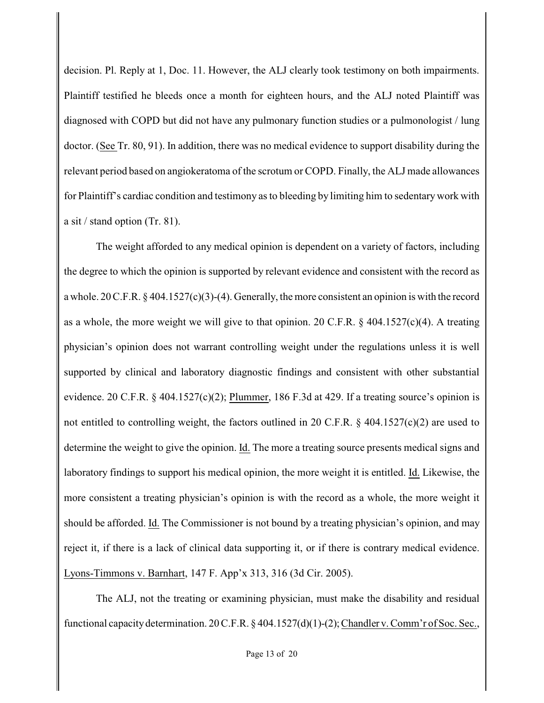decision. Pl. Reply at 1, Doc. 11. However, the ALJ clearly took testimony on both impairments. Plaintiff testified he bleeds once a month for eighteen hours, and the ALJ noted Plaintiff was diagnosed with COPD but did not have any pulmonary function studies or a pulmonologist / lung doctor. (See Tr. 80, 91). In addition, there was no medical evidence to support disability during the relevant period based on angiokeratoma of the scrotum or COPD. Finally, the ALJ made allowances for Plaintiff's cardiac condition and testimony as to bleeding by limiting him to sedentary work with a sit / stand option (Tr. 81).

The weight afforded to any medical opinion is dependent on a variety of factors, including the degree to which the opinion is supported by relevant evidence and consistent with the record as a whole. 20 C.F.R. § 404.1527(c)(3)-(4). Generally, the more consistent an opinion is with the record as a whole, the more weight we will give to that opinion. 20 C.F.R. § 404.1527(c)(4). A treating physician's opinion does not warrant controlling weight under the regulations unless it is well supported by clinical and laboratory diagnostic findings and consistent with other substantial evidence. 20 C.F.R. § 404.1527(c)(2); Plummer, 186 F.3d at 429. If a treating source's opinion is not entitled to controlling weight, the factors outlined in 20 C.F.R. § 404.1527(c)(2) are used to determine the weight to give the opinion. Id. The more a treating source presents medical signs and laboratory findings to support his medical opinion, the more weight it is entitled. Id. Likewise, the more consistent a treating physician's opinion is with the record as a whole, the more weight it should be afforded. Id. The Commissioner is not bound by a treating physician's opinion, and may reject it, if there is a lack of clinical data supporting it, or if there is contrary medical evidence. Lyons-Timmons v. Barnhart, 147 F. App'x 313, 316 (3d Cir. 2005).

The ALJ, not the treating or examining physician, must make the disability and residual functional capacity determination. 20 C.F.R. § 404.1527(d)(1)-(2); Chandler v. Comm'r of Soc. Sec.,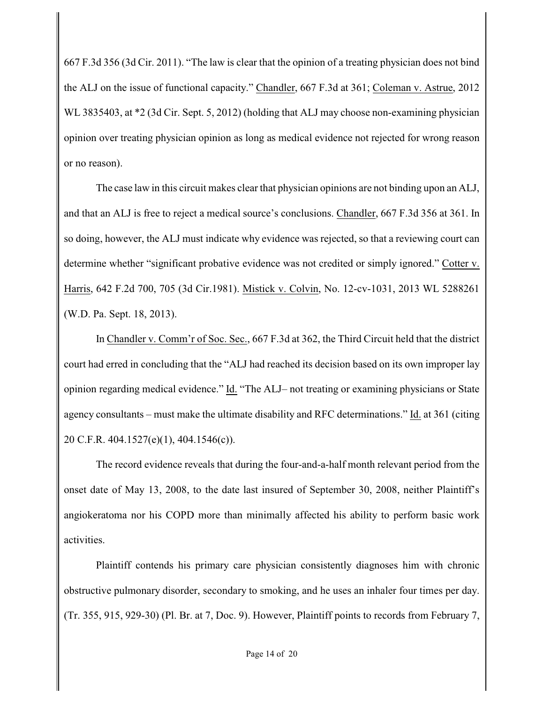667 F.3d 356 (3d Cir. 2011). "The law is clear that the opinion of a treating physician does not bind the ALJ on the issue of functional capacity." Chandler, 667 F.3d at 361; Coleman v. Astrue, 2012 WL 3835403, at  $*2$  (3d Cir. Sept. 5, 2012) (holding that ALJ may choose non-examining physician opinion over treating physician opinion as long as medical evidence not rejected for wrong reason or no reason).

The case law in this circuit makes clear that physician opinions are not binding upon an ALJ, and that an ALJ is free to reject a medical source's conclusions. Chandler, 667 F.3d 356 at 361. In so doing, however, the ALJ must indicate why evidence was rejected, so that a reviewing court can determine whether "significant probative evidence was not credited or simply ignored." Cotter v. Harris, 642 F.2d 700, 705 (3d Cir.1981). Mistick v. Colvin, No. 12-cv-1031, 2013 WL 5288261 (W.D. Pa. Sept. 18, 2013).

In Chandler v. Comm'r of Soc. Sec., 667 F.3d at 362, the Third Circuit held that the district court had erred in concluding that the "ALJ had reached its decision based on its own improper lay opinion regarding medical evidence." Id. "The ALJ– not treating or examining physicians or State agency consultants – must make the ultimate disability and RFC determinations." Id. at 361 (citing 20 C.F.R. 404.1527(e)(1), 404.1546(c)).

The record evidence reveals that during the four-and-a-half month relevant period from the onset date of May 13, 2008, to the date last insured of September 30, 2008, neither Plaintiff's angiokeratoma nor his COPD more than minimally affected his ability to perform basic work activities.

Plaintiff contends his primary care physician consistently diagnoses him with chronic obstructive pulmonary disorder, secondary to smoking, and he uses an inhaler four times per day. (Tr. 355, 915, 929-30) (Pl. Br. at 7, Doc. 9). However, Plaintiff points to records from February 7,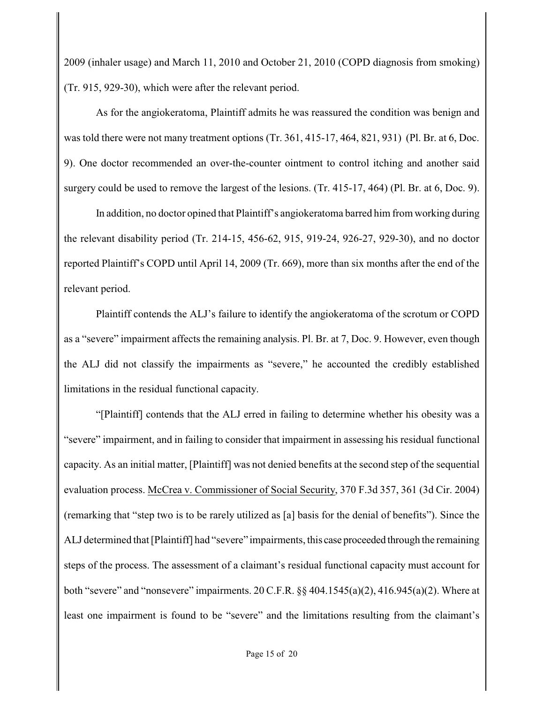2009 (inhaler usage) and March 11, 2010 and October 21, 2010 (COPD diagnosis from smoking) (Tr. 915, 929-30), which were after the relevant period.

As for the angiokeratoma, Plaintiff admits he was reassured the condition was benign and was told there were not many treatment options (Tr. 361, 415-17, 464, 821, 931) (Pl. Br. at 6, Doc. 9). One doctor recommended an over-the-counter ointment to control itching and another said surgery could be used to remove the largest of the lesions. (Tr. 415-17, 464) (Pl. Br. at 6, Doc. 9).

In addition, no doctor opined that Plaintiff's angiokeratoma barred him from working during the relevant disability period (Tr. 214-15, 456-62, 915, 919-24, 926-27, 929-30), and no doctor reported Plaintiff's COPD until April 14, 2009 (Tr. 669), more than six months after the end of the relevant period.

Plaintiff contends the ALJ's failure to identify the angiokeratoma of the scrotum or COPD as a "severe" impairment affects the remaining analysis. Pl. Br. at 7, Doc. 9. However, even though the ALJ did not classify the impairments as "severe," he accounted the credibly established limitations in the residual functional capacity.

"[Plaintiff] contends that the ALJ erred in failing to determine whether his obesity was a "severe" impairment, and in failing to consider that impairment in assessing his residual functional capacity. As an initial matter, [Plaintiff] was not denied benefits at the second step of the sequential evaluation process. McCrea v. Commissioner of Social Security, 370 F.3d 357, 361 (3d Cir. 2004) (remarking that "step two is to be rarely utilized as [a] basis for the denial of benefits"). Since the ALJ determined that [Plaintiff] had "severe" impairments, this case proceeded through the remaining steps of the process. The assessment of a claimant's residual functional capacity must account for both "severe" and "nonsevere" impairments. 20 C.F.R. §§ 404.1545(a)(2), 416.945(a)(2). Where at least one impairment is found to be "severe" and the limitations resulting from the claimant's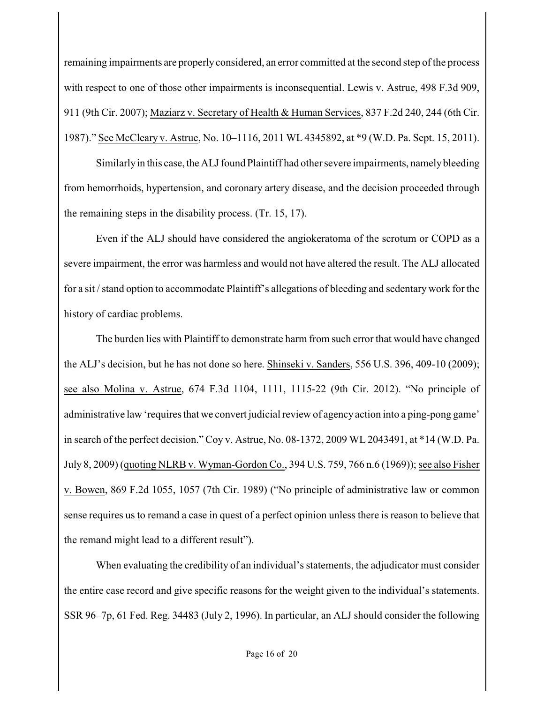remaining impairments are properly considered, an error committed at the second step of the process with respect to one of those other impairments is inconsequential. Lewis v. Astrue, 498 F.3d 909, 911 (9th Cir. 2007); Maziarz v. Secretary of Health & Human Services, 837 F.2d 240, 244 (6th Cir. 1987)." See McCleary v. Astrue, No. 10–1116, 2011 WL 4345892, at \*9 (W.D. Pa. Sept. 15, 2011).

Similarly in this case, the ALJ found Plaintiff had other severe impairments, namely bleeding from hemorrhoids, hypertension, and coronary artery disease, and the decision proceeded through the remaining steps in the disability process. (Tr. 15, 17).

Even if the ALJ should have considered the angiokeratoma of the scrotum or COPD as a severe impairment, the error was harmless and would not have altered the result. The ALJ allocated for a sit / stand option to accommodate Plaintiff's allegations of bleeding and sedentary work for the history of cardiac problems.

The burden lies with Plaintiff to demonstrate harm from such error that would have changed the ALJ's decision, but he has not done so here. Shinseki v. Sanders, 556 U.S. 396, 409-10 (2009); see also Molina v. Astrue, 674 F.3d 1104, 1111, 1115-22 (9th Cir. 2012). "No principle of administrative law 'requires that we convert judicial review of agency action into a ping-pong game' in search of the perfect decision." Coy v. Astrue, No. 08-1372, 2009 WL 2043491, at \*14 (W.D. Pa. July 8, 2009) (quoting NLRB v. Wyman-Gordon Co., 394 U.S. 759, 766 n.6 (1969)); see also Fisher v. Bowen, 869 F.2d 1055, 1057 (7th Cir. 1989) ("No principle of administrative law or common sense requires us to remand a case in quest of a perfect opinion unless there is reason to believe that the remand might lead to a different result").

When evaluating the credibility of an individual's statements, the adjudicator must consider the entire case record and give specific reasons for the weight given to the individual's statements. SSR 96–7p, 61 Fed. Reg. 34483 (July 2, 1996). In particular, an ALJ should consider the following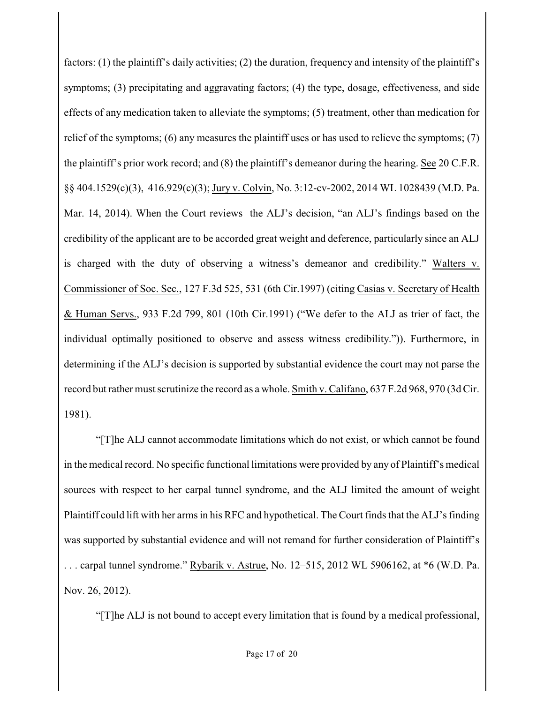factors: (1) the plaintiff's daily activities; (2) the duration, frequency and intensity of the plaintiff's symptoms; (3) precipitating and aggravating factors; (4) the type, dosage, effectiveness, and side effects of any medication taken to alleviate the symptoms; (5) treatment, other than medication for relief of the symptoms; (6) any measures the plaintiff uses or has used to relieve the symptoms; (7) the plaintiff's prior work record; and (8) the plaintiff's demeanor during the hearing. See 20 C.F.R. §§ 404.1529(c)(3), 416.929(c)(3); Jury v. Colvin, No. 3:12-cv-2002, 2014 WL 1028439 (M.D. Pa. Mar. 14, 2014). When the Court reviews the ALJ's decision, "an ALJ's findings based on the credibility of the applicant are to be accorded great weight and deference, particularly since an ALJ is charged with the duty of observing a witness's demeanor and credibility." Walters v. Commissioner of Soc. Sec., 127 F.3d 525, 531 (6th Cir.1997) (citing Casias v. Secretary of Health & Human Servs., 933 F.2d 799, 801 (10th Cir.1991) ("We defer to the ALJ as trier of fact, the individual optimally positioned to observe and assess witness credibility.")). Furthermore, in determining if the ALJ's decision is supported by substantial evidence the court may not parse the record but rather must scrutinize the record as a whole. Smith v. Califano, 637 F.2d 968, 970 (3d Cir. 1981).

"[T]he ALJ cannot accommodate limitations which do not exist, or which cannot be found in the medical record. No specific functional limitations were provided by any of Plaintiff's medical sources with respect to her carpal tunnel syndrome, and the ALJ limited the amount of weight Plaintiff could lift with her arms in his RFC and hypothetical. The Court finds that the ALJ's finding was supported by substantial evidence and will not remand for further consideration of Plaintiff's . . . carpal tunnel syndrome." Rybarik v. Astrue, No. 12–515, 2012 WL 5906162, at \*6 (W.D. Pa. Nov. 26, 2012).

"[T]he ALJ is not bound to accept every limitation that is found by a medical professional,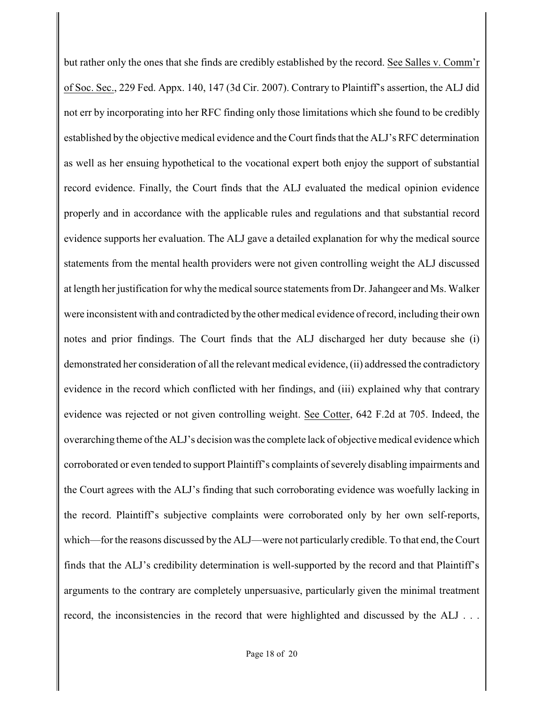but rather only the ones that she finds are credibly established by the record. See Salles v. Comm'r of Soc. Sec., 229 Fed. Appx. 140, 147 (3d Cir. 2007). Contrary to Plaintiff's assertion, the ALJ did not err by incorporating into her RFC finding only those limitations which she found to be credibly established by the objective medical evidence and the Court finds that the ALJ's RFC determination as well as her ensuing hypothetical to the vocational expert both enjoy the support of substantial record evidence. Finally, the Court finds that the ALJ evaluated the medical opinion evidence properly and in accordance with the applicable rules and regulations and that substantial record evidence supports her evaluation. The ALJ gave a detailed explanation for why the medical source statements from the mental health providers were not given controlling weight the ALJ discussed at length her justification for why the medical source statements from Dr. Jahangeer and Ms. Walker were inconsistent with and contradicted by the other medical evidence of record, including their own notes and prior findings. The Court finds that the ALJ discharged her duty because she (i) demonstrated her consideration of all the relevant medical evidence, (ii) addressed the contradictory evidence in the record which conflicted with her findings, and (iii) explained why that contrary evidence was rejected or not given controlling weight. See Cotter, 642 F.2d at 705. Indeed, the overarching theme of the ALJ's decision was the complete lack of objective medical evidence which corroborated or even tended to support Plaintiff's complaints of severely disabling impairments and the Court agrees with the ALJ's finding that such corroborating evidence was woefully lacking in the record. Plaintiff's subjective complaints were corroborated only by her own self-reports, which—for the reasons discussed by the ALJ—were not particularly credible. To that end, the Court finds that the ALJ's credibility determination is well-supported by the record and that Plaintiff's arguments to the contrary are completely unpersuasive, particularly given the minimal treatment record, the inconsistencies in the record that were highlighted and discussed by the ALJ ...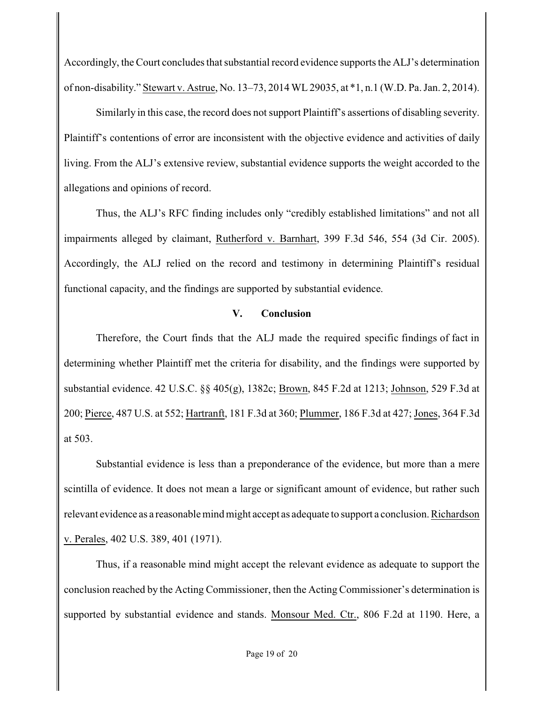Accordingly, the Court concludes that substantial record evidence supports the ALJ's determination of non-disability." Stewart v. Astrue, No. 13–73, 2014 WL 29035, at \*1, n.1 (W.D. Pa. Jan. 2, 2014).

Similarly in this case, the record does not support Plaintiff's assertions of disabling severity. Plaintiff's contentions of error are inconsistent with the objective evidence and activities of daily living. From the ALJ's extensive review, substantial evidence supports the weight accorded to the allegations and opinions of record.

Thus, the ALJ's RFC finding includes only "credibly established limitations" and not all impairments alleged by claimant, Rutherford v. Barnhart, 399 F.3d 546, 554 (3d Cir. 2005). Accordingly, the ALJ relied on the record and testimony in determining Plaintiff's residual functional capacity, and the findings are supported by substantial evidence.

#### **V. Conclusion**

 Therefore, the Court finds that the ALJ made the required specific findings of fact in determining whether Plaintiff met the criteria for disability, and the findings were supported by substantial evidence. 42 U.S.C. §§ 405(g), 1382c; Brown, 845 F.2d at 1213; Johnson, 529 F.3d at 200; Pierce, 487 U.S. at 552; Hartranft, 181 F.3d at 360; Plummer, 186 F.3d at 427; Jones, 364 F.3d at 503.

Substantial evidence is less than a preponderance of the evidence, but more than a mere scintilla of evidence. It does not mean a large or significant amount of evidence, but rather such relevant evidence as a reasonable mind might accept as adequate to support a conclusion. Richardson v. Perales, 402 U.S. 389, 401 (1971).

Thus, if a reasonable mind might accept the relevant evidence as adequate to support the conclusion reached by the Acting Commissioner, then the Acting Commissioner's determination is supported by substantial evidence and stands. Monsour Med. Ctr., 806 F.2d at 1190. Here, a